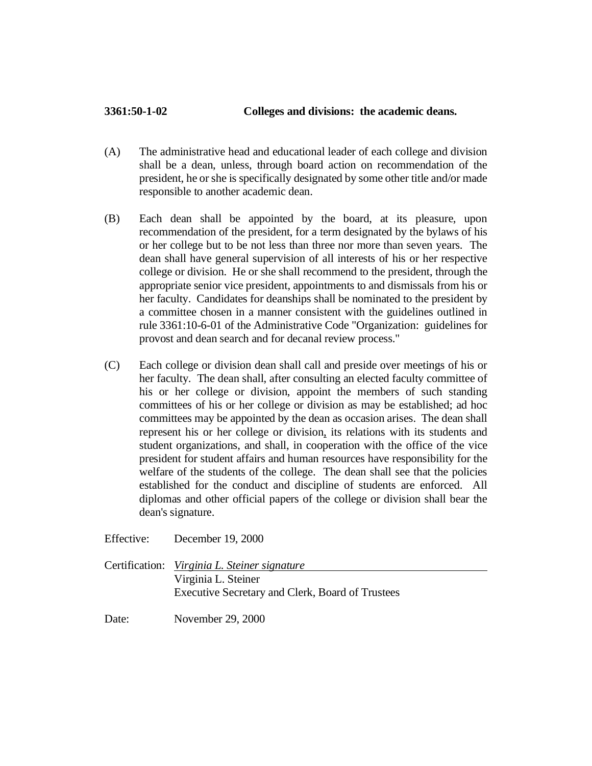## **3361:50-1-02 Colleges and divisions: the academic deans.**

- (A) The administrative head and educational leader of each college and division shall be a dean, unless, through board action on recommendation of the president, he or she is specifically designated by some other title and/or made responsible to another academic dean.
- (B) Each dean shall be appointed by the board, at its pleasure, upon recommendation of the president, for a term designated by the bylaws of his or her college but to be not less than three nor more than seven years. The dean shall have general supervision of all interests of his or her respective college or division. He or she shall recommend to the president, through the appropriate senior vice president, appointments to and dismissals from his or her faculty. Candidates for deanships shall be nominated to the president by a committee chosen in a manner consistent with the guidelines outlined in rule 3361:10-6-01 of the Administrative Code "Organization: guidelines for provost and dean search and for decanal review process."
- (C) Each college or division dean shall call and preside over meetings of his or her faculty. The dean shall, after consulting an elected faculty committee of his or her college or division, appoint the members of such standing committees of his or her college or division as may be established; ad hoc committees may be appointed by the dean as occasion arises. The dean shall represent his or her college or division, its relations with its students and student organizations, and shall, in cooperation with the office of the vice president for student affairs and human resources have responsibility for the welfare of the students of the college. The dean shall see that the policies established for the conduct and discipline of students are enforced. All diplomas and other official papers of the college or division shall bear the dean's signature.
- Effective: December 19, 2000
- Certification: *Virginia L. Steiner signature* Virginia L. Steiner Executive Secretary and Clerk, Board of Trustees

Date: November 29, 2000